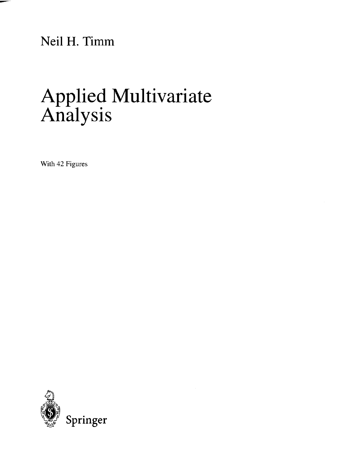Neil H. Timm

## Applied Multivariate Analysis

With 42 Figures

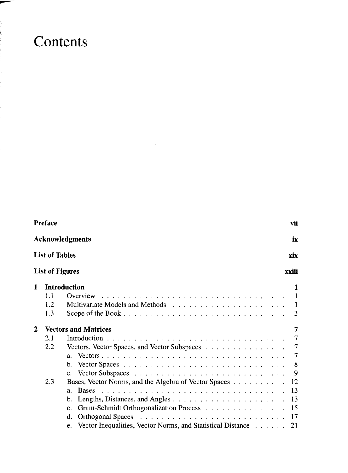## Contents

 $-1.55 - 1.7$ 

|                        | <b>Preface</b><br>vii<br><b>Acknowledgments</b> |                                                                |                |
|------------------------|-------------------------------------------------|----------------------------------------------------------------|----------------|
|                        |                                                 |                                                                |                |
| <b>List of Tables</b>  |                                                 | xix                                                            |                |
| <b>List of Figures</b> |                                                 |                                                                | xxiii          |
| 1                      |                                                 | <b>Introduction</b>                                            | 1              |
|                        | 1.1                                             | Overview                                                       | $\overline{1}$ |
|                        | 1.2                                             |                                                                | $\blacksquare$ |
|                        | 1.3                                             |                                                                | 3              |
| $\mathbf{2}$           |                                                 | <b>Vectors and Matrices</b>                                    | 7              |
|                        | 2.1                                             |                                                                | 7              |
|                        | 2.2                                             | Vectors, Vector Spaces, and Vector Subspaces                   | 7              |
|                        |                                                 | $a_{-}$                                                        | 7              |
|                        |                                                 | b.                                                             | 8              |
|                        |                                                 |                                                                | 9              |
|                        | 2.3                                             | Bases, Vector Norms, and the Algebra of Vector Spaces          | 12             |
|                        |                                                 | <b>Bases</b><br>a <sub>1</sub>                                 | 13             |
|                        |                                                 | b.                                                             | 13             |
|                        |                                                 | Gram-Schmidt Orthogonalization Process<br>$\mathbf{c}$ .       | 15             |
|                        |                                                 | d.                                                             | 17             |
|                        |                                                 | e. Vector Inequalities, Vector Norms, and Statistical Distance | 21             |

÷,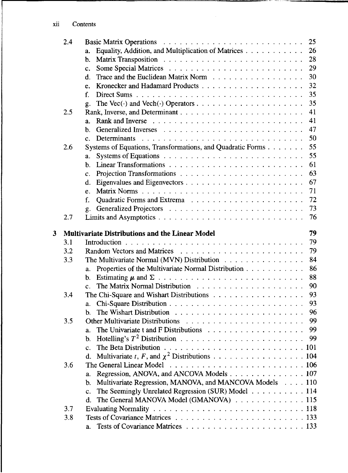|   | 2.4 |                                                               | 25 |
|---|-----|---------------------------------------------------------------|----|
|   |     | Equality, Addition, and Multiplication of Matrices<br>a.      | 26 |
|   |     | $b$ .                                                         | 28 |
|   |     | c.                                                            | 29 |
|   |     | d.                                                            | 30 |
|   |     | e.                                                            | 32 |
|   |     | $f_{\cdot}$                                                   | 35 |
|   |     | g.                                                            | 35 |
|   | 2.5 |                                                               | 41 |
|   |     | $\mathbf{a}$ .                                                | 41 |
|   |     | b.                                                            | 47 |
|   |     | Determinants<br>c.                                            | 50 |
|   | 2.6 | Systems of Equations, Transformations, and Quadratic Forms    | 55 |
|   |     | a.                                                            | 55 |
|   |     | b.                                                            | 61 |
|   |     | c.                                                            | 63 |
|   |     | d.                                                            | 67 |
|   |     | Matrix Norms<br>e.                                            | 71 |
|   |     | f.                                                            | 72 |
|   |     | g.                                                            | 73 |
|   | 2.7 |                                                               | 76 |
|   |     |                                                               |    |
| 3 |     | <b>Multivariate Distributions and the Linear Model</b>        | 79 |
|   | 3.1 |                                                               | 79 |
|   | 3.2 |                                                               | 79 |
|   | 3.3 | The Multivariate Normal (MVN) Distribution                    | 84 |
|   |     | Properties of the Multivariate Normal Distribution<br>a.      | 86 |
|   |     | b.                                                            | 88 |
|   |     | c.                                                            | 90 |
|   | 3.4 |                                                               | 93 |
|   |     | a.                                                            | 93 |
|   |     | b.                                                            | 96 |
|   | 3.5 |                                                               | 99 |
|   |     | $\mathbf{a}$ .                                                | 99 |
|   |     | b.                                                            | 99 |
|   |     | c.                                                            |    |
|   |     | Multivariate t, F, and $\chi^2$ Distributions 104<br>d.       |    |
|   | 3.6 |                                                               |    |
|   |     | Regression, ANOVA, and ANCOVA Models 107<br>a.                |    |
|   |     | Multivariate Regression, MANOVA, and MANCOVA Models 110<br>b. |    |
|   |     | The Seemingly Unrelated Regression (SUR) Model 114<br>c.      |    |
|   |     | The General MANOVA Model (GMANOVA) 115<br>d.                  |    |
|   | 3.7 |                                                               |    |
|   | 3.8 |                                                               |    |
|   |     | a.                                                            |    |

۰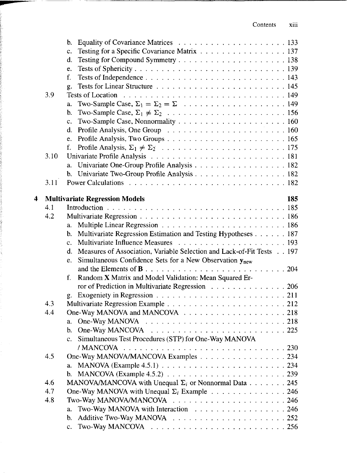|   |      | b.                                                                                          |     |
|---|------|---------------------------------------------------------------------------------------------|-----|
|   |      | Testing for a Specific Covariance Matrix 137<br>c.                                          |     |
|   |      | d.                                                                                          |     |
|   |      | e.                                                                                          |     |
|   |      | f.                                                                                          |     |
|   |      | g.                                                                                          |     |
|   | 3.9  |                                                                                             |     |
|   |      | a.                                                                                          |     |
|   |      | b.                                                                                          |     |
|   |      | c.                                                                                          |     |
|   |      | d.                                                                                          |     |
|   |      | e.                                                                                          |     |
|   |      | f.                                                                                          |     |
|   | 3.10 |                                                                                             |     |
|   |      | Univariate One-Group Profile Analysis 182<br>a.                                             |     |
|   |      | b. Univariate Two-Group Profile Analysis 182                                                |     |
|   | 3.11 |                                                                                             |     |
| 4 |      | <b>Multivariate Regression Models</b>                                                       | 185 |
|   | 4.1  |                                                                                             |     |
|   | 4.2  |                                                                                             |     |
|   |      | a.                                                                                          |     |
|   |      | Multivariate Regression Estimation and Testing Hypotheses 187<br>b.                         |     |
|   |      | $\mathbf{c}$ .                                                                              |     |
|   |      | Measures of Association, Variable Selection and Lack-of-Fit Tests 197<br>d.                 |     |
|   |      | Simultaneous Confidence Sets for a New Observation $y_{new}$<br>e.                          |     |
|   |      |                                                                                             |     |
|   |      | Random X Matrix and Model Validation: Mean Squared Er-<br>f.                                |     |
|   |      | ror of Prediction in Multivariate Regression 206                                            |     |
|   |      | g.                                                                                          |     |
|   | 4.3  |                                                                                             |     |
|   | 4.4  |                                                                                             |     |
|   |      | a.                                                                                          |     |
|   |      | b.                                                                                          |     |
|   |      | Simultaneous Test Procedures (STP) for One-Way MANOVA<br>c.                                 |     |
|   |      | / MANCOVA                                                                                   |     |
|   | 4.5  | One-Way MANOVA/MANCOVA Examples 234                                                         |     |
|   |      | a.                                                                                          |     |
|   |      | MANCOVA (Example 4.5.2) $\ldots \ldots \ldots \ldots \ldots \ldots \ldots \ldots$ 239<br>b. |     |
|   | 4.6  | MANOVA/MANCOVA with Unequal $\Sigma_i$ or Nonnormal Data 245                                |     |
|   | 4.7  | One-Way MANOVA with Unequal $\Sigma_i$ Example 246                                          |     |
|   | 4.8  |                                                                                             |     |
|   |      | Two-Way MANOVA with Interaction 246<br>a.                                                   |     |
|   |      | b.                                                                                          |     |
|   |      | Two-Way MANCOVA $\ldots \ldots \ldots \ldots \ldots \ldots \ldots \ldots \ldots 256$<br>c.  |     |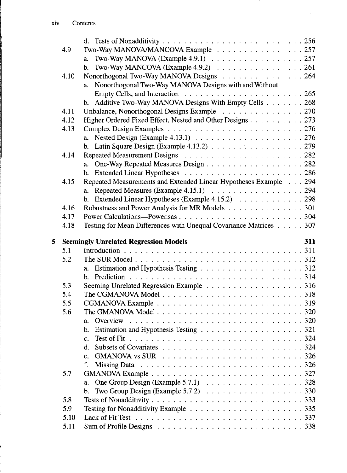|   | 4.9  | Two-Way MANOVA/MANCOVA Example 257                                                              |     |
|---|------|-------------------------------------------------------------------------------------------------|-----|
|   |      | Two-Way MANOVA (Example 4.9.1) $\ldots \ldots \ldots \ldots \ldots \ldots \ldots 257$<br>a.     |     |
|   |      | Two-Way MANCOVA (Example 4.9.2) $\ldots \ldots \ldots \ldots \ldots$ .<br>b.                    |     |
|   | 4.10 | Nonorthogonal Two-Way MANOVA Designs 264                                                        |     |
|   |      | Nonorthogonal Two-Way MANOVA Designs with and Without<br>a.                                     |     |
|   |      |                                                                                                 |     |
|   |      | b. Additive Two-Way MANOVA Designs With Empty Cells 268                                         |     |
|   | 4.11 | Unbalance, Nonorthogonal Designs Example 270                                                    |     |
|   | 4.12 | Higher Ordered Fixed Effect, Nested and Other Designs 273                                       |     |
|   | 4.13 |                                                                                                 |     |
|   |      | a. Nested Design (Example 4.13.1) $\ldots \ldots \ldots \ldots \ldots \ldots \ldots \ldots 276$ |     |
|   |      | b. Latin Square Design (Example 4.13.2) $\ldots$ 279                                            |     |
|   | 4.14 |                                                                                                 |     |
|   |      | a. One-Way Repeated Measures Design 282                                                         |     |
|   |      |                                                                                                 |     |
|   | 4.15 | Repeated Measurements and Extended Linear Hypotheses Example 294                                |     |
|   |      | a. Repeated Measures (Example $4.15.1$ ) 294                                                    |     |
|   |      | b. Extended Linear Hypotheses (Example 4.15.2) 298                                              |     |
|   | 4.16 | Robustness and Power Analysis for MR Models 301                                                 |     |
|   | 4.17 |                                                                                                 |     |
|   | 4.18 | Testing for Mean Differences with Unequal Covariance Matrices 307                               |     |
|   |      |                                                                                                 |     |
|   |      |                                                                                                 |     |
|   |      | <b>Seemingly Unrelated Regression Models</b>                                                    | 311 |
|   | 5.1  |                                                                                                 |     |
|   | 5.2  |                                                                                                 |     |
| 5 |      |                                                                                                 |     |
|   |      |                                                                                                 |     |
|   | 5.3  |                                                                                                 |     |
|   | 5.4  |                                                                                                 |     |
|   | 5.5  |                                                                                                 |     |
|   | 5.6  | a.                                                                                              |     |
|   |      | b.                                                                                              |     |
|   |      | $\mathbf{c}$ .                                                                                  |     |
|   |      | d.                                                                                              |     |
|   |      | e.                                                                                              |     |
|   |      |                                                                                                 |     |
|   | 5.7  |                                                                                                 |     |
|   |      | One Group Design (Example 5.7.1) $\ldots \ldots \ldots \ldots \ldots \ldots \ldots 328$<br>a.   |     |
|   |      | b.                                                                                              |     |
|   | 5.8  |                                                                                                 |     |
|   | 5.9  |                                                                                                 |     |
|   | 5.10 |                                                                                                 |     |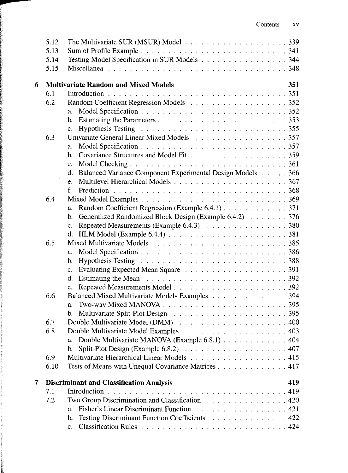|   | 5.12 | The Multivariate SUR (MSUR) Model $\ldots$ , 339                          |     |
|---|------|---------------------------------------------------------------------------|-----|
|   | 5.13 |                                                                           |     |
|   | 5.14 | Testing Model Specification in SUR Models 344                             |     |
|   | 5.15 |                                                                           |     |
|   |      |                                                                           |     |
| 6 |      | <b>Multivariate Random and Mixed Models</b>                               | 351 |
|   | 6.1  |                                                                           |     |
|   | 6.2  |                                                                           |     |
|   |      | a.                                                                        |     |
|   |      | b.                                                                        |     |
|   |      | $c_{\cdot}$                                                               |     |
|   | 6.3  | Univariate General Linear Mixed Models 357                                |     |
|   |      | a.                                                                        |     |
|   |      | b.                                                                        |     |
|   |      | $\mathbf{c}$ .                                                            |     |
|   |      | Balanced Variance Component Experimental Design Models 366<br>d.          |     |
|   |      | e.                                                                        |     |
|   |      | f.                                                                        |     |
|   | 6.4  |                                                                           |     |
|   |      | Random Coefficient Regression (Example 6.4.1) 371<br>a.                   |     |
|   |      | Generalized Randomized Block Design (Example 6.4.2) 376<br>$\mathbf{b}$ . |     |
|   |      | Repeated Measurements (Example 6.4.3) 380<br>c.                           |     |
|   |      | d.                                                                        |     |
|   | 6.5  |                                                                           |     |
|   |      | a.                                                                        |     |
|   |      | b.                                                                        |     |
|   |      | $c_{\cdot}$                                                               |     |
|   |      | d.                                                                        |     |
|   |      | e.                                                                        |     |
|   | 6.6  | Balanced Mixed Multivariate Models Examples 394                           |     |
|   |      | a.                                                                        |     |
|   |      | b.                                                                        |     |
|   | 6.7  |                                                                           |     |
|   | 6.8  |                                                                           |     |
|   |      | Double Multivariate MANOVA (Example 6.8.1) 404<br>a.                      |     |
|   |      | b.                                                                        |     |
|   | 6.9  | Multivariate Hierarchical Linear Models 415                               |     |
|   | 6.10 | Tests of Means with Unequal Covariance Matrices 417                       |     |
| 7 |      | <b>Discriminant and Classification Analysis</b>                           | 419 |
|   | 7.1  |                                                                           |     |
|   | 7.2  | Two Group Discrimination and Classification 420                           |     |
|   |      | Fisher's Linear Discriminant Function 421<br>a.                           |     |
|   |      | Testing Discriminant Function Coefficients 422<br>$\mathbf{b}$ .          |     |
|   |      | $\mathbf{c}$ .                                                            |     |
|   |      |                                                                           |     |

 $\bar{\boldsymbol{\beta}}$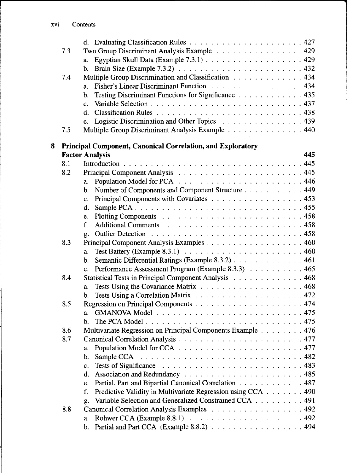| 7.3 | Two Group Discriminant Analysis Example 429                                                                    |     |
|-----|----------------------------------------------------------------------------------------------------------------|-----|
|     | a.                                                                                                             |     |
|     | b.                                                                                                             |     |
| 7.4 | Multiple Group Discrimination and Classification 434                                                           |     |
|     | Fisher's Linear Discriminant Function 434<br>a.                                                                |     |
|     | Testing Discriminant Functions for Significance 435<br>b.                                                      |     |
|     | $\mathbf{c}$ .                                                                                                 |     |
|     | d.                                                                                                             |     |
|     | Logistic Discrimination and Other Topics 439<br>e.                                                             |     |
| 7.5 | Multiple Group Discriminant Analysis Example 440                                                               |     |
| 8   | Principal Component, Canonical Correlation, and Exploratory                                                    |     |
|     | <b>Factor Analysis</b>                                                                                         | 445 |
| 8.1 |                                                                                                                |     |
| 8.2 |                                                                                                                |     |
|     | a.                                                                                                             |     |
|     | Number of Components and Component Structure 449<br>b.                                                         |     |
|     | Principal Components with Covariates 453<br>c.                                                                 |     |
|     | d.                                                                                                             |     |
|     | e.                                                                                                             |     |
|     | f.                                                                                                             |     |
|     | g.                                                                                                             |     |
| 8.3 | Principal Component Analysis Examples 460                                                                      |     |
|     | Test Battery (Example 8.3.1) $\ldots$ $\ldots$ $\ldots$ $\ldots$ $\ldots$ $\ldots$ $\ldots$ $\ldots$ 460<br>a. |     |
|     | Semantic Differential Ratings (Example 8.3.2) 461<br>b.                                                        |     |
|     | Performance Assessment Program (Example 8.3.3) 465<br>$\mathbf{c}$ .                                           |     |
| 8.4 | Statistical Tests in Principal Component Analysis 468                                                          |     |
|     | a.                                                                                                             |     |
|     | b.                                                                                                             |     |
| 8.5 |                                                                                                                |     |
|     | a.                                                                                                             |     |
|     | b.                                                                                                             |     |
| 8.6 | Multivariate Regression on Principal Components Example 476                                                    |     |
| 8.7 |                                                                                                                |     |
|     | a.                                                                                                             |     |
|     |                                                                                                                |     |
|     | Tests of Significance<br>c.                                                                                    |     |
|     | d.                                                                                                             |     |
|     | Partial, Part and Bipartial Canonical Correlation 487<br>e.                                                    |     |
|     | Predictive Validity in Multivariate Regression using CCA 490<br>f.                                             |     |
|     | Variable Selection and Generalized Constrained CCA 491<br>g.                                                   |     |
| 8.8 | Canonical Correlation Analysis Examples 492                                                                    |     |
|     | a.                                                                                                             |     |
|     | Partial and Part CCA (Example 8.8.2) 494<br>b.                                                                 |     |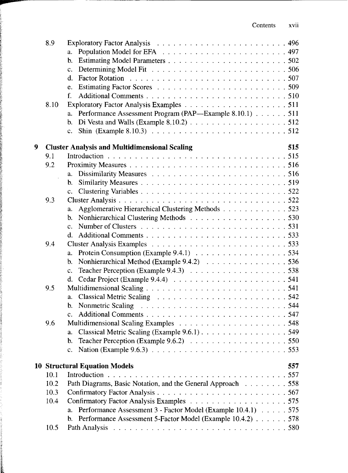|   | 8.9  |                                                                    |     |
|---|------|--------------------------------------------------------------------|-----|
|   |      | a.                                                                 |     |
|   |      | b.                                                                 |     |
|   |      | c.                                                                 |     |
|   |      | d.                                                                 |     |
|   |      | e.                                                                 |     |
|   |      | f.                                                                 |     |
|   | 8.10 |                                                                    |     |
|   |      | Performance Assessment Program (PAP—Example 8.10.1) 511<br>a.      |     |
|   |      | Di Vesta and Walls (Example $8.10.2$ ) $\ldots$ 512<br>b.          |     |
|   |      | c.                                                                 |     |
| 9 |      | <b>Cluster Analysis and Multidimensional Scaling</b>               | 515 |
|   | 9.1  |                                                                    |     |
|   | 9.2  |                                                                    |     |
|   |      | a.                                                                 |     |
|   |      | b.                                                                 |     |
|   |      | $c_{\cdot}$                                                        |     |
|   | 9.3  |                                                                    |     |
|   |      | Agglomerative Hierarchical Clustering Methods 523<br>a.            |     |
|   |      | b.                                                                 |     |
|   |      | $\mathbf{c}$ .                                                     |     |
|   |      | d.                                                                 |     |
|   | 9.4  |                                                                    |     |
|   |      | a.                                                                 |     |
|   |      | Nonhierarchical Method (Example 9.4.2) 536<br>b.                   |     |
|   |      | c.                                                                 |     |
|   |      | d.                                                                 |     |
|   | 9.5  |                                                                    |     |
|   |      | a.                                                                 |     |
|   |      | b.                                                                 |     |
|   |      | c.                                                                 |     |
|   | 9.6  |                                                                    |     |
|   |      | a.                                                                 |     |
|   |      | b.                                                                 |     |
|   |      | c.                                                                 |     |
|   |      | <b>10 Structural Equation Models</b>                               | 557 |
|   | 10.1 |                                                                    |     |
|   | 10.2 | Path Diagrams, Basic Notation, and the General Approach 558        |     |
|   | 10.3 |                                                                    |     |
|   | 10.4 |                                                                    |     |
|   |      | Performance Assessment 3 - Factor Model (Example 10.4.1) 575<br>a. |     |
|   |      | Performance Assessment 5-Factor Model (Example 10.4.2) 578<br>b.   |     |
|   | 10.5 | Path Analysis                                                      |     |